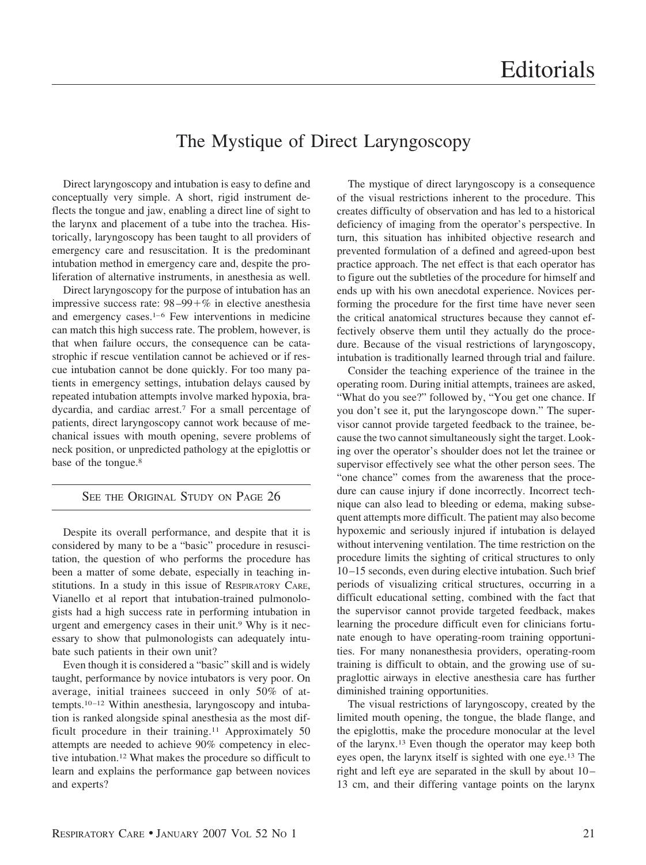## The Mystique of Direct Laryngoscopy

Direct laryngoscopy and intubation is easy to define and conceptually very simple. A short, rigid instrument deflects the tongue and jaw, enabling a direct line of sight to the larynx and placement of a tube into the trachea. Historically, laryngoscopy has been taught to all providers of emergency care and resuscitation. It is the predominant intubation method in emergency care and, despite the proliferation of alternative instruments, in anesthesia as well.

Direct laryngoscopy for the purpose of intubation has an impressive success rate:  $98-99+%$  in elective anesthesia and emergency cases. $1-6$  Few interventions in medicine can match this high success rate. The problem, however, is that when failure occurs, the consequence can be catastrophic if rescue ventilation cannot be achieved or if rescue intubation cannot be done quickly. For too many patients in emergency settings, intubation delays caused by repeated intubation attempts involve marked hypoxia, bradycardia, and cardiac arrest.7 For a small percentage of patients, direct laryngoscopy cannot work because of mechanical issues with mouth opening, severe problems of neck position, or unpredicted pathology at the epiglottis or base of the tongue.<sup>8</sup>

## SEE THE ORIGINAL STUDY ON PAGE 26

Despite its overall performance, and despite that it is considered by many to be a "basic" procedure in resuscitation, the question of who performs the procedure has been a matter of some debate, especially in teaching institutions. In a study in this issue of RESPIRATORY CARE, Vianello et al report that intubation-trained pulmonologists had a high success rate in performing intubation in urgent and emergency cases in their unit.9 Why is it necessary to show that pulmonologists can adequately intubate such patients in their own unit?

Even though it is considered a "basic" skill and is widely taught, performance by novice intubators is very poor. On average, initial trainees succeed in only 50% of attempts.10 –12 Within anesthesia, laryngoscopy and intubation is ranked alongside spinal anesthesia as the most difficult procedure in their training.<sup>11</sup> Approximately 50 attempts are needed to achieve 90% competency in elective intubation.12 What makes the procedure so difficult to learn and explains the performance gap between novices and experts?

The mystique of direct laryngoscopy is a consequence of the visual restrictions inherent to the procedure. This creates difficulty of observation and has led to a historical deficiency of imaging from the operator's perspective. In turn, this situation has inhibited objective research and prevented formulation of a defined and agreed-upon best practice approach. The net effect is that each operator has to figure out the subtleties of the procedure for himself and ends up with his own anecdotal experience. Novices performing the procedure for the first time have never seen the critical anatomical structures because they cannot effectively observe them until they actually do the procedure. Because of the visual restrictions of laryngoscopy, intubation is traditionally learned through trial and failure.

Consider the teaching experience of the trainee in the operating room. During initial attempts, trainees are asked, "What do you see?" followed by, "You get one chance. If you don't see it, put the laryngoscope down." The supervisor cannot provide targeted feedback to the trainee, because the two cannot simultaneously sight the target. Looking over the operator's shoulder does not let the trainee or supervisor effectively see what the other person sees. The "one chance" comes from the awareness that the procedure can cause injury if done incorrectly. Incorrect technique can also lead to bleeding or edema, making subsequent attempts more difficult. The patient may also become hypoxemic and seriously injured if intubation is delayed without intervening ventilation. The time restriction on the procedure limits the sighting of critical structures to only 10 –15 seconds, even during elective intubation. Such brief periods of visualizing critical structures, occurring in a difficult educational setting, combined with the fact that the supervisor cannot provide targeted feedback, makes learning the procedure difficult even for clinicians fortunate enough to have operating-room training opportunities. For many nonanesthesia providers, operating-room training is difficult to obtain, and the growing use of supraglottic airways in elective anesthesia care has further diminished training opportunities.

The visual restrictions of laryngoscopy, created by the limited mouth opening, the tongue, the blade flange, and the epiglottis, make the procedure monocular at the level of the larynx.13 Even though the operator may keep both eyes open, the larynx itself is sighted with one eye.13 The right and left eye are separated in the skull by about 10 – 13 cm, and their differing vantage points on the larynx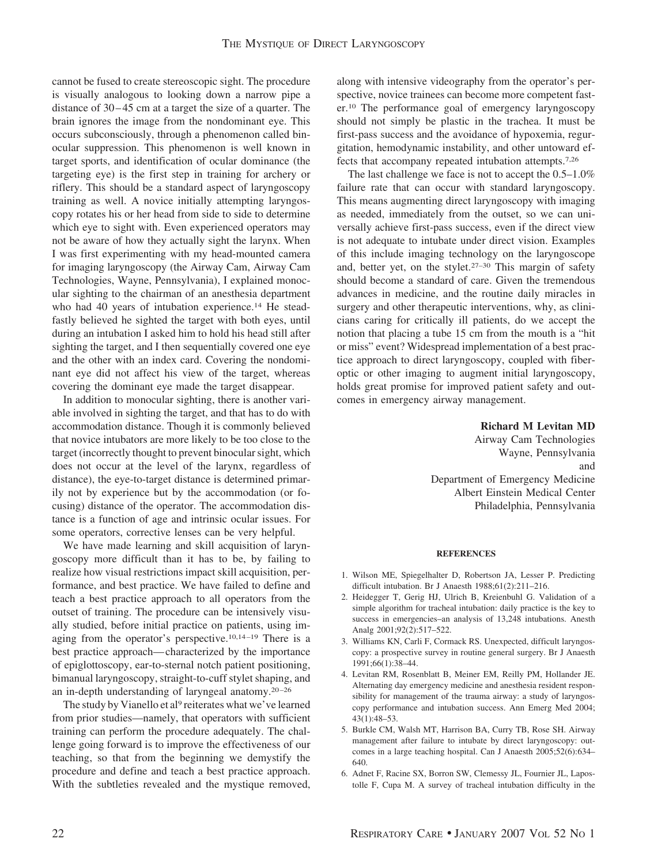cannot be fused to create stereoscopic sight. The procedure is visually analogous to looking down a narrow pipe a distance of 30–45 cm at a target the size of a quarter. The brain ignores the image from the nondominant eye. This occurs subconsciously, through a phenomenon called binocular suppression. This phenomenon is well known in target sports, and identification of ocular dominance (the targeting eye) is the first step in training for archery or riflery. This should be a standard aspect of laryngoscopy training as well. A novice initially attempting laryngoscopy rotates his or her head from side to side to determine which eye to sight with. Even experienced operators may not be aware of how they actually sight the larynx. When I was first experimenting with my head-mounted camera for imaging laryngoscopy (the Airway Cam, Airway Cam Technologies, Wayne, Pennsylvania), I explained monocular sighting to the chairman of an anesthesia department who had 40 years of intubation experience.<sup>14</sup> He steadfastly believed he sighted the target with both eyes, until during an intubation I asked him to hold his head still after sighting the target, and I then sequentially covered one eye and the other with an index card. Covering the nondominant eye did not affect his view of the target, whereas covering the dominant eye made the target disappear.

In addition to monocular sighting, there is another variable involved in sighting the target, and that has to do with accommodation distance. Though it is commonly believed that novice intubators are more likely to be too close to the target (incorrectly thought to prevent binocular sight, which does not occur at the level of the larynx, regardless of distance), the eye-to-target distance is determined primarily not by experience but by the accommodation (or focusing) distance of the operator. The accommodation distance is a function of age and intrinsic ocular issues. For some operators, corrective lenses can be very helpful.

We have made learning and skill acquisition of laryngoscopy more difficult than it has to be, by failing to realize how visual restrictions impact skill acquisition, performance, and best practice. We have failed to define and teach a best practice approach to all operators from the outset of training. The procedure can be intensively visually studied, before initial practice on patients, using imaging from the operator's perspective.<sup>10,14-19</sup> There is a best practice approach— characterized by the importance of epiglottoscopy, ear-to-sternal notch patient positioning, bimanual laryngoscopy, straight-to-cuff stylet shaping, and an in-depth understanding of laryngeal anatomy.<sup>20-26</sup>

The study by Vianello et al<sup>9</sup> reiterates what we've learned from prior studies—namely, that operators with sufficient training can perform the procedure adequately. The challenge going forward is to improve the effectiveness of our teaching, so that from the beginning we demystify the procedure and define and teach a best practice approach. With the subtleties revealed and the mystique removed, along with intensive videography from the operator's perspective, novice trainees can become more competent faster.10 The performance goal of emergency laryngoscopy should not simply be plastic in the trachea. It must be first-pass success and the avoidance of hypoxemia, regurgitation, hemodynamic instability, and other untoward effects that accompany repeated intubation attempts.7,26

The last challenge we face is not to accept the 0.5–1.0% failure rate that can occur with standard laryngoscopy. This means augmenting direct laryngoscopy with imaging as needed, immediately from the outset, so we can universally achieve first-pass success, even if the direct view is not adequate to intubate under direct vision. Examples of this include imaging technology on the laryngoscope and, better yet, on the stylet.27–30 This margin of safety should become a standard of care. Given the tremendous advances in medicine, and the routine daily miracles in surgery and other therapeutic interventions, why, as clinicians caring for critically ill patients, do we accept the notion that placing a tube 15 cm from the mouth is a "hit or miss" event? Widespread implementation of a best practice approach to direct laryngoscopy, coupled with fiberoptic or other imaging to augment initial laryngoscopy, holds great promise for improved patient safety and outcomes in emergency airway management.

**Richard M Levitan MD**

Airway Cam Technologies Wayne, Pennsylvania and Department of Emergency Medicine Albert Einstein Medical Center Philadelphia, Pennsylvania

## **REFERENCES**

- 1. Wilson ME, Spiegelhalter D, Robertson JA, Lesser P. Predicting difficult intubation. Br J Anaesth 1988;61(2):211–216.
- 2. Heidegger T, Gerig HJ, Ulrich B, Kreienbuhl G. Validation of a simple algorithm for tracheal intubation: daily practice is the key to success in emergencies–an analysis of 13,248 intubations. Anesth Analg 2001;92(2):517–522.
- 3. Williams KN, Carli F, Cormack RS. Unexpected, difficult laryngoscopy: a prospective survey in routine general surgery. Br J Anaesth 1991;66(1):38–44.
- 4. Levitan RM, Rosenblatt B, Meiner EM, Reilly PM, Hollander JE. Alternating day emergency medicine and anesthesia resident responsibility for management of the trauma airway: a study of laryngoscopy performance and intubation success. Ann Emerg Med 2004; 43(1):48–53.
- 5. Burkle CM, Walsh MT, Harrison BA, Curry TB, Rose SH. Airway management after failure to intubate by direct laryngoscopy: outcomes in a large teaching hospital. Can J Anaesth 2005;52(6):634– 640.
- 6. Adnet F, Racine SX, Borron SW, Clemessy JL, Fournier JL, Lapostolle F, Cupa M. A survey of tracheal intubation difficulty in the